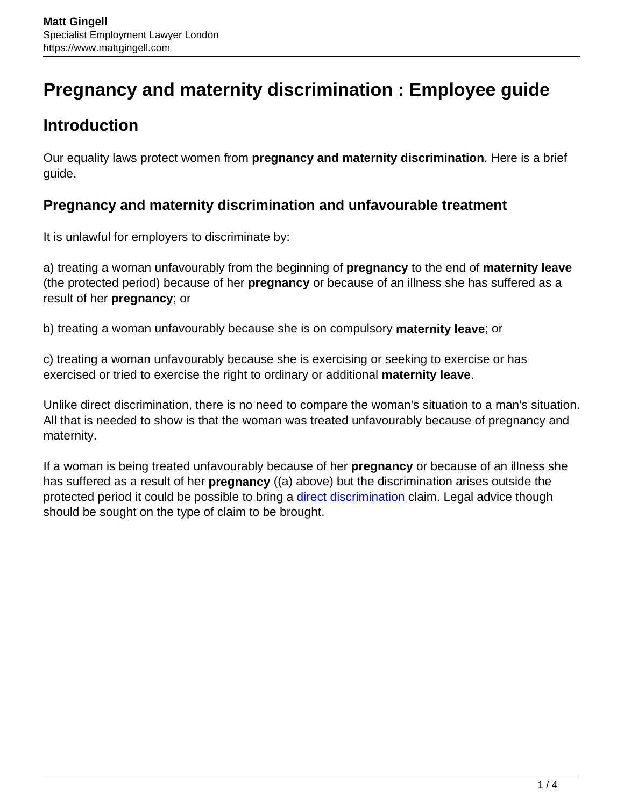# **Pregnancy and maternity discrimination : Employee guide**

# **Introduction**

Our equality laws protect women from **pregnancy and maternity discrimination**. Here is a brief guide.

#### **Pregnancy and maternity discrimination and unfavourable treatment**

It is unlawful for employers to discriminate by:

a) treating a woman unfavourably from the beginning of **pregnancy** to the end of **maternity leave** (the protected period) because of her **pregnancy** or because of an illness she has suffered as a result of her **pregnancy**; or

b) treating a woman unfavourably because she is on compulsory **maternity leave**; or

c) treating a woman unfavourably because she is exercising or seeking to exercise or has exercised or tried to exercise the right to ordinary or additional **maternity leave**.

Unlike direct discrimination, there is no need to compare the woman's situation to a man's situation. All that is needed to show is that the woman was treated unfavourably because of pregnancy and maternity.

If a woman is being treated unfavourably because of her **pregnancy** or because of an illness she has suffered as a result of her **pregnancy** ((a) above) but the discrimination arises outside the protected period it could be possible to bring a [direct discrimination](https://www.mattgingell.com/sex-discrimination-a-guide-for-employees/) claim. Legal advice though should be sought on the type of claim to be brought.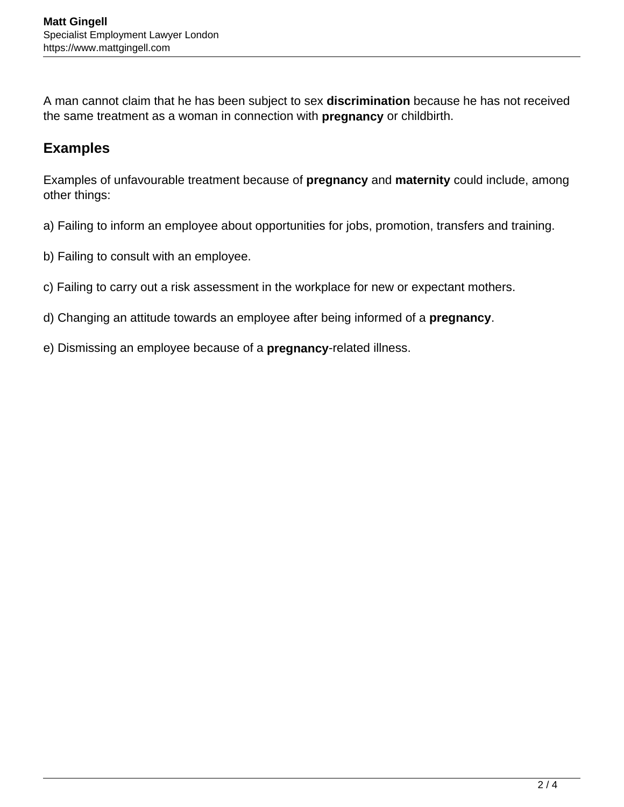A man cannot claim that he has been subject to sex **discrimination** because he has not received the same treatment as a woman in connection with **pregnancy** or childbirth.

#### **Examples**

Examples of unfavourable treatment because of **pregnancy** and **maternity** could include, among other things:

- a) Failing to inform an employee about opportunities for jobs, promotion, transfers and training.
- b) Failing to consult with an employee.
- c) Failing to carry out a risk assessment in the workplace for new or expectant mothers.
- d) Changing an attitude towards an employee after being informed of a **pregnancy**.
- e) Dismissing an employee because of a **pregnancy**-related illness.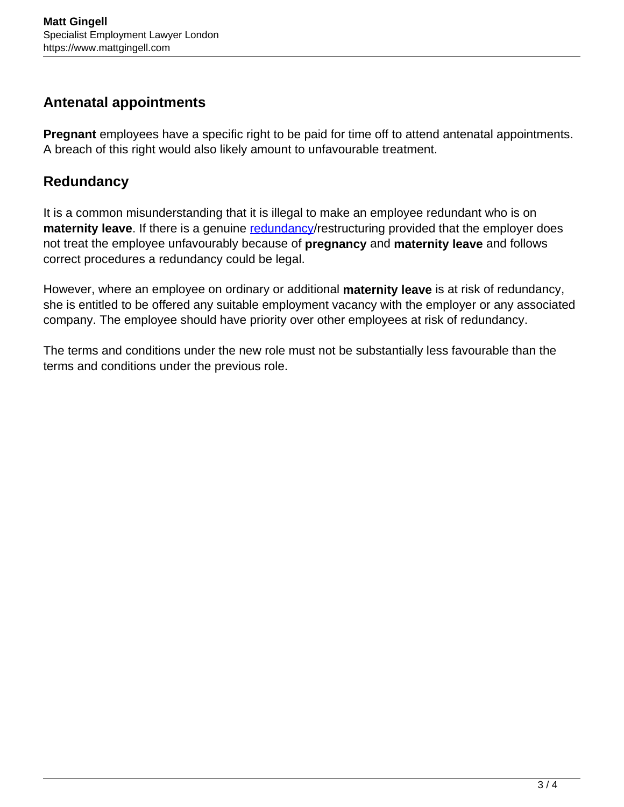#### **Antenatal appointments**

**Pregnant** employees have a specific right to be paid for time off to attend antenatal appointments. A breach of this right would also likely amount to unfavourable treatment.

# **Redundancy**

It is a common misunderstanding that it is illegal to make an employee redundant who is on **maternity leave**. If there is a genuine [redundancy/](https://www.mattgingell.com/redundancy/)restructuring provided that the employer does not treat the employee unfavourably because of **pregnancy** and **maternity leave** and follows correct procedures a redundancy could be legal.

However, where an employee on ordinary or additional **maternity leave** is at risk of redundancy, she is entitled to be offered any suitable employment vacancy with the employer or any associated company. The employee should have priority over other employees at risk of redundancy.

The terms and conditions under the new role must not be substantially less favourable than the terms and conditions under the previous role.